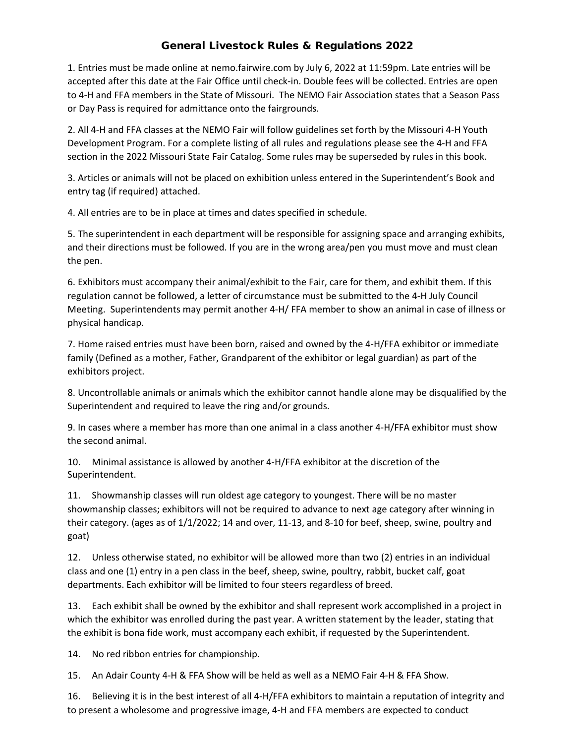## General Livestock Rules & Regulations 2022

1. Entries must be made online at nemo.fairwire.com by July 6, 2022 at 11:59pm. Late entries will be accepted after this date at the Fair Office until check-in. Double fees will be collected. Entries are open to 4-H and FFA members in the State of Missouri. The NEMO Fair Association states that a Season Pass or Day Pass is required for admittance onto the fairgrounds.

2. All 4-H and FFA classes at the NEMO Fair will follow guidelines set forth by the Missouri 4-H Youth Development Program. For a complete listing of all rules and regulations please see the 4-H and FFA section in the 2022 Missouri State Fair Catalog. Some rules may be superseded by rules in this book.

3. Articles or animals will not be placed on exhibition unless entered in the Superintendent's Book and entry tag (if required) attached.

4. All entries are to be in place at times and dates specified in schedule.

5. The superintendent in each department will be responsible for assigning space and arranging exhibits, and their directions must be followed. If you are in the wrong area/pen you must move and must clean the pen.

6. Exhibitors must accompany their animal/exhibit to the Fair, care for them, and exhibit them. If this regulation cannot be followed, a letter of circumstance must be submitted to the 4-H July Council Meeting. Superintendents may permit another 4-H/ FFA member to show an animal in case of illness or physical handicap.

7. Home raised entries must have been born, raised and owned by the 4-H/FFA exhibitor or immediate family (Defined as a mother, Father, Grandparent of the exhibitor or legal guardian) as part of the exhibitors project.

8. Uncontrollable animals or animals which the exhibitor cannot handle alone may be disqualified by the Superintendent and required to leave the ring and/or grounds.

9. In cases where a member has more than one animal in a class another 4-H/FFA exhibitor must show the second animal.

10. Minimal assistance is allowed by another 4-H/FFA exhibitor at the discretion of the Superintendent.

11. Showmanship classes will run oldest age category to youngest. There will be no master showmanship classes; exhibitors will not be required to advance to next age category after winning in their category. (ages as of 1/1/2022; 14 and over, 11-13, and 8-10 for beef, sheep, swine, poultry and goat)

12. Unless otherwise stated, no exhibitor will be allowed more than two (2) entries in an individual class and one (1) entry in a pen class in the beef, sheep, swine, poultry, rabbit, bucket calf, goat departments. Each exhibitor will be limited to four steers regardless of breed.

13. Each exhibit shall be owned by the exhibitor and shall represent work accomplished in a project in which the exhibitor was enrolled during the past year. A written statement by the leader, stating that the exhibit is bona fide work, must accompany each exhibit, if requested by the Superintendent.

14. No red ribbon entries for championship.

15. An Adair County 4-H & FFA Show will be held as well as a NEMO Fair 4-H & FFA Show.

16. Believing it is in the best interest of all 4-H/FFA exhibitors to maintain a reputation of integrity and to present a wholesome and progressive image, 4-H and FFA members are expected to conduct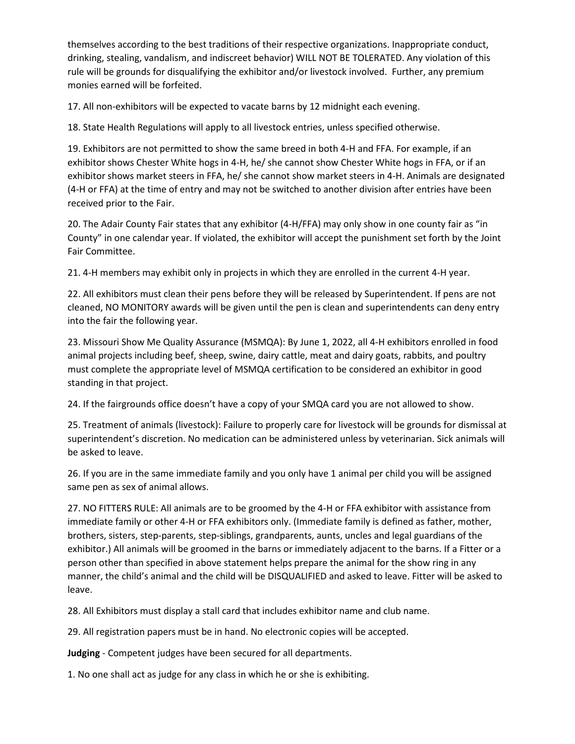themselves according to the best traditions of their respective organizations. Inappropriate conduct, drinking, stealing, vandalism, and indiscreet behavior) WILL NOT BE TOLERATED. Any violation of this rule will be grounds for disqualifying the exhibitor and/or livestock involved. Further, any premium monies earned will be forfeited.

17. All non-exhibitors will be expected to vacate barns by 12 midnight each evening.

18. State Health Regulations will apply to all livestock entries, unless specified otherwise.

19. Exhibitors are not permitted to show the same breed in both 4-H and FFA. For example, if an exhibitor shows Chester White hogs in 4-H, he/ she cannot show Chester White hogs in FFA, or if an exhibitor shows market steers in FFA, he/ she cannot show market steers in 4-H. Animals are designated (4-H or FFA) at the time of entry and may not be switched to another division after entries have been received prior to the Fair.

20. The Adair County Fair states that any exhibitor (4-H/FFA) may only show in one county fair as "in County" in one calendar year. If violated, the exhibitor will accept the punishment set forth by the Joint Fair Committee.

21. 4-H members may exhibit only in projects in which they are enrolled in the current 4-H year.

22. All exhibitors must clean their pens before they will be released by Superintendent. If pens are not cleaned, NO MONITORY awards will be given until the pen is clean and superintendents can deny entry into the fair the following year.

23. Missouri Show Me Quality Assurance (MSMQA): By June 1, 2022, all 4-H exhibitors enrolled in food animal projects including beef, sheep, swine, dairy cattle, meat and dairy goats, rabbits, and poultry must complete the appropriate level of MSMQA certification to be considered an exhibitor in good standing in that project.

24. If the fairgrounds office doesn't have a copy of your SMQA card you are not allowed to show.

25. Treatment of animals (livestock): Failure to properly care for livestock will be grounds for dismissal at superintendent's discretion. No medication can be administered unless by veterinarian. Sick animals will be asked to leave.

26. If you are in the same immediate family and you only have 1 animal per child you will be assigned same pen as sex of animal allows.

27. NO FITTERS RULE: All animals are to be groomed by the 4-H or FFA exhibitor with assistance from immediate family or other 4-H or FFA exhibitors only. (Immediate family is defined as father, mother, brothers, sisters, step-parents, step-siblings, grandparents, aunts, uncles and legal guardians of the exhibitor.) All animals will be groomed in the barns or immediately adjacent to the barns. If a Fitter or a person other than specified in above statement helps prepare the animal for the show ring in any manner, the child's animal and the child will be DISQUALIFIED and asked to leave. Fitter will be asked to leave.

28. All Exhibitors must display a stall card that includes exhibitor name and club name.

29. All registration papers must be in hand. No electronic copies will be accepted.

**Judging** - Competent judges have been secured for all departments.

1. No one shall act as judge for any class in which he or she is exhibiting.